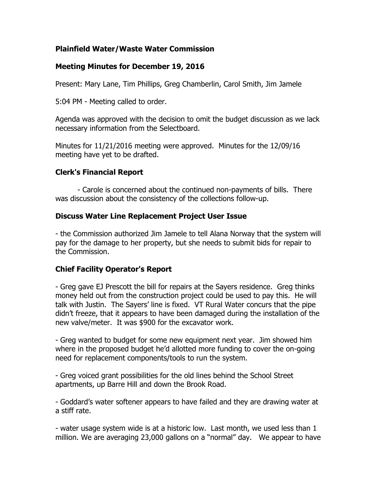# **Plainfield Water/Waste Water Commission**

## **Meeting Minutes for December 19, 2016**

Present: Mary Lane, Tim Phillips, Greg Chamberlin, Carol Smith, Jim Jamele

5:04 PM - Meeting called to order.

Agenda was approved with the decision to omit the budget discussion as we lack necessary information from the Selectboard.

Minutes for 11/21/2016 meeting were approved. Minutes for the 12/09/16 meeting have yet to be drafted.

# **Clerk's Financial Report**

- Carole is concerned about the continued non-payments of bills. There was discussion about the consistency of the collections follow-up.

#### **Discuss Water Line Replacement Project User Issue**

- the Commission authorized Jim Jamele to tell Alana Norway that the system will pay for the damage to her property, but she needs to submit bids for repair to the Commission.

#### **Chief Facility Operator's Report**

- Greg gave EJ Prescott the bill for repairs at the Sayers residence. Greg thinks money held out from the construction project could be used to pay this. He will talk with Justin. The Sayers' line is fixed. VT Rural Water concurs that the pipe didn't freeze, that it appears to have been damaged during the installation of the new valve/meter. It was \$900 for the excavator work.

- Greg wanted to budget for some new equipment next year. Jim showed him where in the proposed budget he'd allotted more funding to cover the on-going need for replacement components/tools to run the system.

- Greg voiced grant possibilities for the old lines behind the School Street apartments, up Barre Hill and down the Brook Road.

- Goddard's water softener appears to have failed and they are drawing water at a stiff rate.

- water usage system wide is at a historic low. Last month, we used less than 1 million. We are averaging 23,000 gallons on a "normal" day. We appear to have